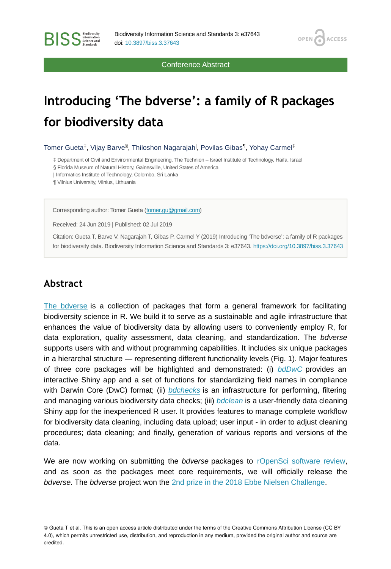Conference Abstract

**OPEN** 

**ACCESS** 

# **Introducing 'The bdverse': a family of R packages for biodiversity data**

Tomer Gueta<sup>‡</sup>, Vijay Barve<sup>§</sup>, Thiloshon Nagarajah<sup>|</sup>, Povilas Gibas<sup>¶</sup>, Yohay Carmel<sup>‡</sup>

‡ Department of Civil and Environmental Engineering, The Technion – Israel Institute of Technology, Haifa, Israel

§ Florida Museum of Natural History, Gainesville, United States of America

| Informatics Institute of Technology, Colombo, Sri Lanka

¶ Vilnius University, Vilnius, Lithuania

**BISS** Steince and

Corresponding author: Tomer Gueta [\(tomer.gu@gmail.com\)](mailto:tomer.gu@gmail.com)

Received: 24 Jun 2019 | Published: 02 Jul 2019

Citation: Gueta T, Barve V, Nagarajah T, Gibas P, Carmel Y (2019) Introducing 'The bdverse': a family of R packages for biodiversity data. Biodiversity Information Science and Standards 3: e37643. <https://doi.org/10.3897/biss.3.37643>

#### **Abstract**

[The bdverse](https://bd-r.github.io/The-bdverse/) is a collection of packages that form a general framework for facilitating biodiversity science in R. We build it to serve as a sustainable and agile infrastructure that enhances the value of biodiversity data by allowing users to conveniently employ R, for data exploration, quality assessment, data cleaning, and standardization. The *bdverse* supports users with and without programming capabilities. It includes six unique packages in a hierarchal structure — representing different functionality levels (Fig. 1). Major features of three core packages will be highlighted and demonstrated: (i) *[bdDwC](https://bd-r.github.io/The-bdverse/bdDwC.html)* provides an interactive Shiny app and a set of functions for standardizing field names in compliance with Darwin Core (DwC) format; (ii) *[bdchecks](https://bd-r.github.io/The-bdverse/bdchecks.html)* is an infrastructure for performing, filtering and managing various biodiversity data checks; (iii) *[bdclean](https://bd-r.github.io/The-bdverse/bdclean.html)* is a user-friendly data cleaning Shiny app for the inexperienced R user. It provides features to manage complete workflow for biodiversity data cleaning, including data upload; user input - in order to adjust cleaning procedures; data cleaning; and finally, generation of various reports and versions of the data.

We are now working on submitting the *bdverse* packages to [rOpenSci software review,](https://ropensci.org/software-review/) and as soon as the packages meet core requirements, we will officially release the *bdverse.* The *bdverse* project won the [2nd prize in the 2018 Ebbe Nielsen Challenge](https://www.gbif.org/news/4TuHBNfycgO4GEMOKkMi4u/six-winners-top-the-2018-ebbe-nielsen-challenge#bdverse).

© Gueta T et al. This is an open access article distributed under the terms of the Creative Commons Attribution License (CC BY 4.0), which permits unrestricted use, distribution, and reproduction in any medium, provided the original author and source are credited.